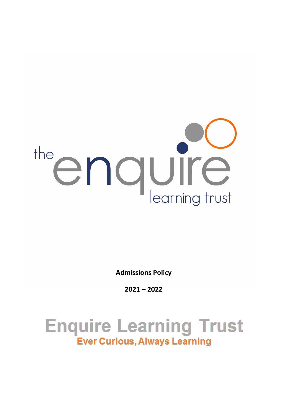# the enquire

**Admissions Policy**

**2021 – 2022**

**Enquire Learning Trust Ever Curious, Always Learning**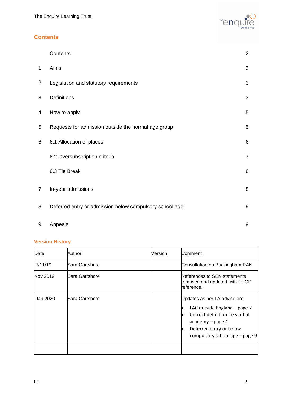

# **Contents**

|    | Contents                                                | $\overline{2}$ |
|----|---------------------------------------------------------|----------------|
| 1. | Aims                                                    | 3              |
| 2. | Legislation and statutory requirements                  | 3              |
| 3. | Definitions                                             | 3              |
| 4. | How to apply                                            | 5              |
| 5. | Requests for admission outside the normal age group     | 5              |
| 6. | 6.1 Allocation of places                                | $\,6$          |
|    | 6.2 Oversubscription criteria                           | $\overline{7}$ |
|    | 6.3 Tie Break                                           | 8              |
| 7. | In-year admissions                                      | 8              |
| 8. | Deferred entry or admission below compulsory school age | $9\,$          |
| 9. | Appeals                                                 | 9              |

# **Version History**

| Date     | Author         | Version | Comment                                                                                                                                                                         |
|----------|----------------|---------|---------------------------------------------------------------------------------------------------------------------------------------------------------------------------------|
| 7/11/19  | Sara Gartshore |         | Consultation on Buckingham PAN                                                                                                                                                  |
| Nov 2019 | Sara Gartshore |         | References to SEN statements<br>removed and updated with EHCP<br>reference.                                                                                                     |
| Jan 2020 | Sara Gartshore |         | Updates as per LA advice on:<br>LAC outside England - page 7<br>Correct definition re staff at<br>academy - page 4<br>Deferred entry or below<br>compulsory school age - page 9 |
|          |                |         |                                                                                                                                                                                 |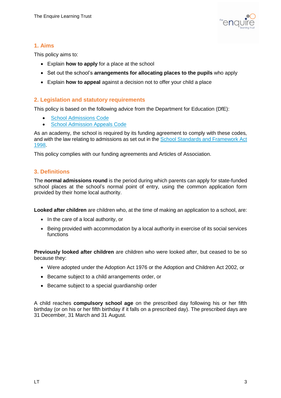

### **1. Aims**

This policy aims to:

- Explain **how to apply** for a place at the school
- Set out the school's **arrangements for allocating places to the pupils** who apply
- Explain **how to appeal** against a decision not to offer your child a place

### **2. Legislation and statutory requirements**

This policy is based on the following advice from the Department for Education (DfE):

- [School Admissions Code](https://www.gov.uk/government/publications/school-admissions-code--2)
- [School Admission Appeals Code](https://www.gov.uk/government/publications/school-admissions-appeals-code)

As an academy, the school is required by its funding agreement to comply with these codes, and with the law relating to admissions as set out in the [School Standards and Framework Act](http://www.legislation.gov.uk/ukpga/1998/31/contents)  [1998.](http://www.legislation.gov.uk/ukpga/1998/31/contents)

This policy complies with our funding agreements and Articles of Association.

### **3. Definitions**

The **normal admissions round** is the period during which parents can apply for state-funded school places at the school's normal point of entry, using the common application form provided by their home local authority.

**Looked after children** are children who, at the time of making an application to a school, are:

- In the care of a local authority, or
- Being provided with accommodation by a local authority in exercise of its social services functions

**Previously looked after children** are children who were looked after, but ceased to be so because they:

- Were adopted under the Adoption Act 1976 or the Adoption and Children Act 2002, or
- Became subject to a child arrangements order, or
- Became subject to a special guardianship order

A child reaches **compulsory school age** on the prescribed day following his or her fifth birthday (or on his or her fifth birthday if it falls on a prescribed day). The prescribed days are 31 December, 31 March and 31 August.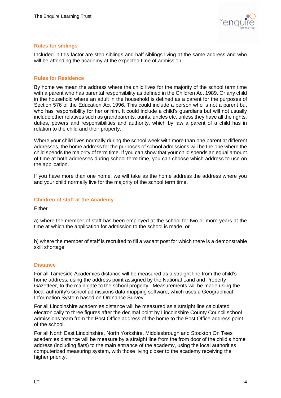

### **Rules for siblings**

Included in this factor are step siblings and half siblings living at the same address and who will be attending the academy at the expected time of admission.

### **Rules for Residence**

By home we mean the address where the child lives for the majority of the school term time with a parent who has parental responsibility as defined in the Children Act 1989. Or any child in the household where an adult in the household is defined as a parent for the purposes of Section 576 of the Education Act 1996. This could include a person who is not a parent but who has responsibility for her or him. It could include a child's guardians but will not usually include other relatives such as grandparents, aunts, uncles etc. unless they have all the rights, duties, powers and responsibilities and authority, which by law a parent of a child has in relation to the child and their property.

Where your child lives normally during the school week with more than one parent at different addresses, the home address for the purposes of school admissions will be the one where the child spends the majority of term time. If you can show that your child spends an equal amount of time at both addresses during school term time, you can choose which address to use on the application.

If you have more than one home, we will take as the home address the address where you and your child normally live for the majority of the school term time.

### **Children of staff at the Academy**

Either

a) where the member of staff has been employed at the school for two or more years at the time at which the application for admission to the school is made, or

b) where the member of staff is recruited to fill a vacant post for which there is a demonstrable skill shortage

### **Distance**

For all Tameside Academies distance will be measured as a straight line from the child's home address, using the address point assigned by the National Land and Property Gazetteer, to the main gate to the school property. Measurements will be made using the local authority's school admissions data mapping software, which uses a Geographical Information System based on Ordnance Survey.

For all Lincolnshire academies distance will be measured as a straight line calculated electronically to three figures after the decimal point by Lincolnshire County Council school admissions team from the Post Office address of the home to the Post Office address point of the school.

For all North East Lincolnshire, North Yorkshire, Middlesbrough and Stockton On Tees academies distance will be measure by a straight line from the from door of the child's home address (including flats) to the main entrance of the academy, using the local authorities computerized measuring system, with those living closer to the academy receiving the higher priority.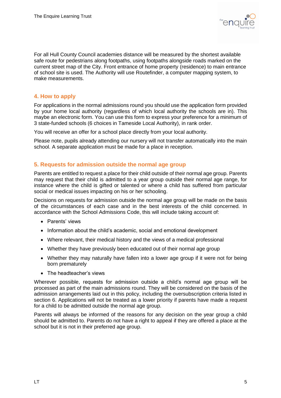

For all Hull County Council academies distance will be measured by the shortest available safe route for pedestrians along footpaths, using footpaths alongside roads marked on the current street map of the City. Front entrance of home property (residence) to main entrance of school site is used. The Authority will use Routefinder, a computer mapping system, to make measurements.

### **4. How to apply**

For applications in the normal admissions round you should use the application form provided by your home local authority (regardless of which local authority the schools are in). This maybe an electronic form. You can use this form to express your preference for a minimum of 3 state-funded schools (6 choices in Tameside Local Authority), in rank order.

You will receive an offer for a school place directly from your local authority.

Please note, pupils already attending our nursery will not transfer automatically into the main school. A separate application must be made for a place in reception.

### **5. Requests for admission outside the normal age group**

Parents are entitled to request a place for their child outside of their normal age group. Parents may request that their child is admitted to a year group outside their normal age range, for instance where the child is gifted or talented or where a child has suffered from particular social or medical issues impacting on his or her schooling.

Decisions on requests for admission outside the normal age group will be made on the basis of the circumstances of each case and in the best interests of the child concerned. In accordance with the School Admissions Code, this will include taking account of:

- Parents' views
- Information about the child's academic, social and emotional development
- Where relevant, their medical history and the views of a medical professional
- Whether they have previously been educated out of their normal age group
- Whether they may naturally have fallen into a lower age group if it were not for being born prematurely
- The headteacher's views

Wherever possible, requests for admission outside a child's normal age group will be processed as part of the main admissions round. They will be considered on the basis of the admission arrangements laid out in this policy, including the oversubscription criteria listed in section 6. Applications will not be treated as a lower priority if parents have made a request for a child to be admitted outside the normal age group.

Parents will always be informed of the reasons for any decision on the year group a child should be admitted to. Parents do not have a right to appeal if they are offered a place at the school but it is not in their preferred age group.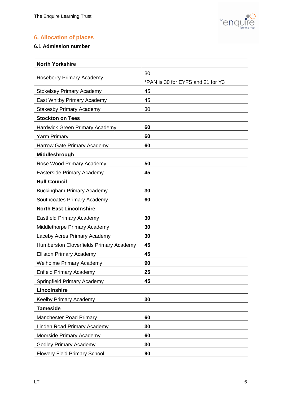

# **6. Allocation of places**

## **6.1 Admission number**

| <b>North Yorkshire</b>                  |                                   |  |  |  |  |
|-----------------------------------------|-----------------------------------|--|--|--|--|
| Roseberry Primary Academy               | 30                                |  |  |  |  |
|                                         | *PAN is 30 for EYFS and 21 for Y3 |  |  |  |  |
| <b>Stokelsey Primary Academy</b>        | 45                                |  |  |  |  |
| East Whitby Primary Academy             | 45                                |  |  |  |  |
| <b>Stakesby Primary Academy</b>         | 30                                |  |  |  |  |
| <b>Stockton on Tees</b>                 |                                   |  |  |  |  |
| Hardwick Green Primary Academy          | 60                                |  |  |  |  |
| <b>Yarm Primary</b>                     | 60                                |  |  |  |  |
| Harrow Gate Primary Academy             | 60                                |  |  |  |  |
| Middlesbrough                           |                                   |  |  |  |  |
| Rose Wood Primary Academy               | 50                                |  |  |  |  |
| Easterside Primary Academy              | 45                                |  |  |  |  |
| <b>Hull Council</b>                     |                                   |  |  |  |  |
| <b>Buckingham Primary Academy</b>       | 30                                |  |  |  |  |
| Southcoates Primary Academy             | 60                                |  |  |  |  |
| <b>North East Lincolnshire</b>          |                                   |  |  |  |  |
| <b>Eastfield Primary Academy</b>        | 30                                |  |  |  |  |
| Middlethorpe Primary Academy            | 30                                |  |  |  |  |
| Laceby Acres Primary Academy            | 30                                |  |  |  |  |
| Humberston Cloverfields Primary Academy | 45                                |  |  |  |  |
| <b>Elliston Primary Academy</b>         | 45                                |  |  |  |  |
| <b>Welholme Primary Academy</b>         | 90                                |  |  |  |  |
| <b>Enfield Primary Academy</b>          | 25                                |  |  |  |  |
| Springfield Primary Academy             | 45                                |  |  |  |  |
| Lincolnshire                            |                                   |  |  |  |  |
| Keelby Primary Academy                  | 30                                |  |  |  |  |
| <b>Tameside</b>                         |                                   |  |  |  |  |
| <b>Manchester Road Primary</b>          | 60                                |  |  |  |  |
| Linden Road Primary Academy             | 30                                |  |  |  |  |
| Moorside Primary Academy                | 60                                |  |  |  |  |
| <b>Godley Primary Academy</b>           | 30                                |  |  |  |  |
| <b>Flowery Field Primary School</b>     | 90                                |  |  |  |  |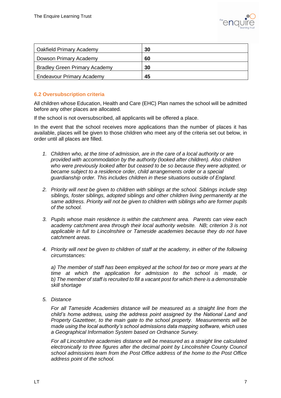

| Oakfield Primary Academy             | 30 |
|--------------------------------------|----|
| Dowson Primary Academy               | 60 |
| <b>Bradley Green Primary Academy</b> | 30 |
| <b>Endeavour Primary Academy</b>     | 45 |

### **6.2 Oversubscription criteria**

All children whose Education, Health and Care (EHC) Plan names the school will be admitted before any other places are allocated.

If the school is not oversubscribed, all applicants will be offered a place.

In the event that the school receives more applications than the number of places it has available, places will be given to those children who meet any of the criteria set out below, in order until all places are filled.

- *1. Children who, at the time of admission, are in the care of a local authority or are provided with accommodation by the authority (looked after children). Also children who were previously looked after but ceased to be so because they were adopted, or became subject to a residence order, child arrangements order or a special guardianship order. This includes children in these situations outside of England.*
- *2. Priority will next be given to children with siblings at the school. Siblings include step siblings, foster siblings, adopted siblings and other children living permanently at the same address. Priority will not be given to children with siblings who are former pupils of the school.*
- *3. Pupils whose main residence is within the catchment area. Parents can view each academy catchment area through their local authority website. NB; criterion 3 is not applicable in full to Lincolnshire or Tameside academies because they do not have catchment areas.*
- *4. Priority will next be given to children of staff at the academy, in either of the following circumstances:*

*a) The member of staff has been employed at the school for two or more years at the time at which the application for admission to the school is made, or b) The member of staff is recruited to fill a vacant post for which there is a demonstrable skill shortage*

*5. Distance* 

*For all Tameside Academies distance will be measured as a straight line from the child's home address, using the address point assigned by the National Land and Property Gazetteer, to the main gate to the school property. Measurements will be made using the local authority's school admissions data mapping software, which uses a Geographical Information System based on Ordnance Survey.*

*For all Lincolnshire academies distance will be measured as a straight line calculated electronically to three figures after the decimal point by Lincolnshire County Council school admissions team from the Post Office address of the home to the Post Office address point of the school.*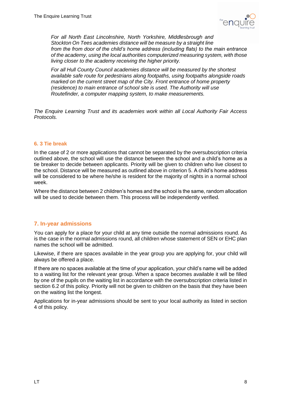

*For all North East Lincolnshire, North Yorkshire, Middlesbrough and Stockton On Tees academies distance will be measure by a straight line from the from door of the child's home address (including flats) to the main entrance of the academy, using the local authorities computerized measuring system, with those living closer to the academy receiving the higher priority.* 

*For all Hull County Council academies distance will be measured by the shortest available safe route for pedestrians along footpaths, using footpaths alongside roads marked on the current street map of the City. Front entrance of home property (residence) to main entrance of school site is used. The Authority will use Routefinder, a computer mapping system, to make measurements.*

*The Enquire Learning Trust and its academies work within all Local Authority Fair Access Protocols.*

### **6. 3 Tie break**

In the case of 2 or more applications that cannot be separated by the oversubscription criteria outlined above, the school will use the distance between the school and a child's home as a tie breaker to decide between applicants. Priority will be given to children who live closest to the school. Distance will be measured as outlined above in criterion 5. A child's home address will be considered to be where he/she is resident for the majority of nights in a normal school week.

Where the distance between 2 children's homes and the school is the same, random allocation will be used to decide between them. This process will be independently verified.

### **7. In-year admissions**

You can apply for a place for your child at any time outside the normal admissions round. As is the case in the normal admissions round, all children whose statement of SEN or EHC plan names the school will be admitted.

Likewise, if there are spaces available in the year group you are applying for, your child will always be offered a place.

If there are no spaces available at the time of your application, your child's name will be added to a waiting list for the relevant year group. When a space becomes available it will be filled by one of the pupils on the waiting list in accordance with the oversubscription criteria listed in section 6.2 of this policy. Priority will not be given to children on the basis that they have been on the waiting list the longest.

Applications for in-year admissions should be sent to your local authority as listed in section 4 of this policy.